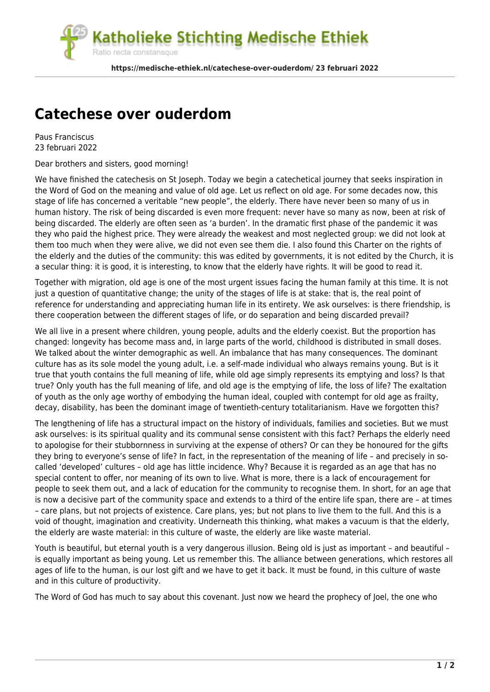atholieke Stichting Medische Ethiek Ratio recta constansque

**https://medische-ethiek.nl/catechese-over-ouderdom/ 23 februari 2022**

## **[Catechese over ouderdom](https://medische-ethiek.nl/catechese-over-ouderdom/)**

Paus Franciscus 23 februari 2022

Dear brothers and sisters, good morning!

We have finished the catechesis on St Joseph. Today we begin a catechetical journey that seeks inspiration in the Word of God on the meaning and value of old age. Let us reflect on old age. For some decades now, this stage of life has concerned a veritable "new people", the elderly. There have never been so many of us in human history. The risk of being discarded is even more frequent: never have so many as now, been at risk of being discarded. The elderly are often seen as 'a burden'. In the dramatic first phase of the pandemic it was they who paid the highest price. They were already the weakest and most neglected group: we did not look at them too much when they were alive, we did not even see them die. I also found this Charter on the rights of the elderly and the duties of the community: this was edited by governments, it is not edited by the Church, it is a secular thing: it is good, it is interesting, to know that the elderly have rights. It will be good to read it.

Together with migration, old age is one of the most urgent issues facing the human family at this time. It is not just a question of quantitative change; the unity of the stages of life is at stake: that is, the real point of reference for understanding and appreciating human life in its entirety. We ask ourselves: is there friendship, is there cooperation between the different stages of life, or do separation and being discarded prevail?

We all live in a present where children, young people, adults and the elderly coexist. But the proportion has changed: longevity has become mass and, in large parts of the world, childhood is distributed in small doses. We talked about the winter demographic as well. An imbalance that has many consequences. The dominant culture has as its sole model the young adult, i.e. a self-made individual who always remains young. But is it true that youth contains the full meaning of life, while old age simply represents its emptying and loss? Is that true? Only youth has the full meaning of life, and old age is the emptying of life, the loss of life? The exaltation of youth as the only age worthy of embodying the human ideal, coupled with contempt for old age as frailty, decay, disability, has been the dominant image of twentieth-century totalitarianism. Have we forgotten this?

The lengthening of life has a structural impact on the history of individuals, families and societies. But we must ask ourselves: is its spiritual quality and its communal sense consistent with this fact? Perhaps the elderly need to apologise for their stubbornness in surviving at the expense of others? Or can they be honoured for the gifts they bring to everyone's sense of life? In fact, in the representation of the meaning of life – and precisely in socalled 'developed' cultures – old age has little incidence. Why? Because it is regarded as an age that has no special content to offer, nor meaning of its own to live. What is more, there is a lack of encouragement for people to seek them out, and a lack of education for the community to recognise them. In short, for an age that is now a decisive part of the community space and extends to a third of the entire life span, there are – at times – care plans, but not projects of existence. Care plans, yes; but not plans to live them to the full. And this is a void of thought, imagination and creativity. Underneath this thinking, what makes a vacuum is that the elderly, the elderly are waste material: in this culture of waste, the elderly are like waste material.

Youth is beautiful, but eternal youth is a very dangerous illusion. Being old is just as important - and beautiful is equally important as being young. Let us remember this. The alliance between generations, which restores all ages of life to the human, is our lost gift and we have to get it back. It must be found, in this culture of waste and in this culture of productivity.

The Word of God has much to say about this covenant. Just now we heard the prophecy of Joel, the one who